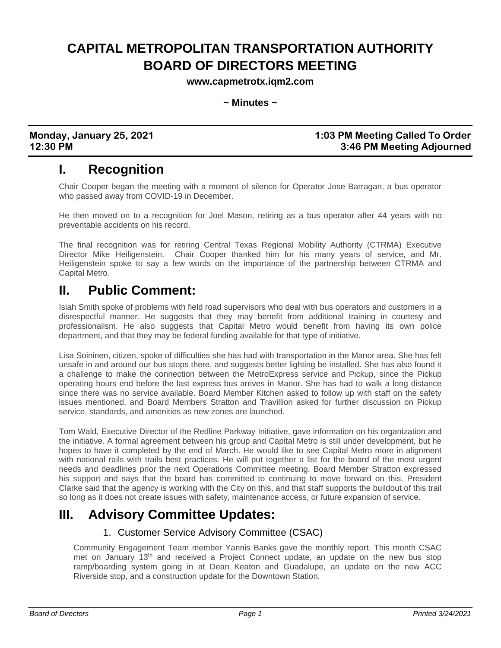# **CAPITAL METROPOLITAN TRANSPORTATION AUTHORITY BOARD OF DIRECTORS MEETING**

**www.capmetrotx.iqm2.com**

**~ Minutes ~**

**Monday, January 25, 2021 1:03 PM Meeting Called To Order 12:30 PM 3:46 PM Meeting Adjourned**

## **I. Recognition**

Chair Cooper began the meeting with a moment of silence for Operator Jose Barragan, a bus operator who passed away from COVID-19 in December.

He then moved on to a recognition for Joel Mason, retiring as a bus operator after 44 years with no preventable accidents on his record.

The final recognition was for retiring Central Texas Regional Mobility Authority (CTRMA) Executive Director Mike Heiligenstein. Chair Cooper thanked him for his many years of service, and Mr. Heiligenstein spoke to say a few words on the importance of the partnership between CTRMA and Capital Metro.

## **II. Public Comment:**

Isiah Smith spoke of problems with field road supervisors who deal with bus operators and customers in a disrespectful manner. He suggests that they may benefit from additional training in courtesy and professionalism. He also suggests that Capital Metro would benefit from having its own police department, and that they may be federal funding available for that type of initiative.

Lisa Soininen, citizen, spoke of difficulties she has had with transportation in the Manor area. She has felt unsafe in and around our bus stops there, and suggests better lighting be installed. She has also found it a challenge to make the connection between the MetroExpress service and Pickup, since the Pickup operating hours end before the last express bus arrives in Manor. She has had to walk a long distance since there was no service available. Board Member Kitchen asked to follow up with staff on the safety issues mentioned, and Board Members Stratton and Travillion asked for further discussion on Pickup service, standards, and amenities as new zones are launched.

Tom Wald, Executive Director of the Redline Parkway Initiative, gave information on his organization and the initiative. A formal agreement between his group and Capital Metro is still under development, but he hopes to have it completed by the end of March. He would like to see Capital Metro more in alignment with national rails with trails best practices. He will put together a list for the board of the most urgent needs and deadlines prior the next Operations Committee meeting. Board Member Stratton expressed his support and says that the board has committed to continuing to move forward on this. President Clarke said that the agency is working with the City on this, and that staff supports the buildout of this trail so long as it does not create issues with safety, maintenance access, or future expansion of service.

## **III. Advisory Committee Updates:**

#### 1. Customer Service Advisory Committee (CSAC)

Community Engagement Team member Yannis Banks gave the monthly report. This month CSAC met on January 13<sup>th</sup> and received a Project Connect update, an update on the new bus stop ramp/boarding system going in at Dean Keaton and Guadalupe, an update on the new ACC Riverside stop, and a construction update for the Downtown Station.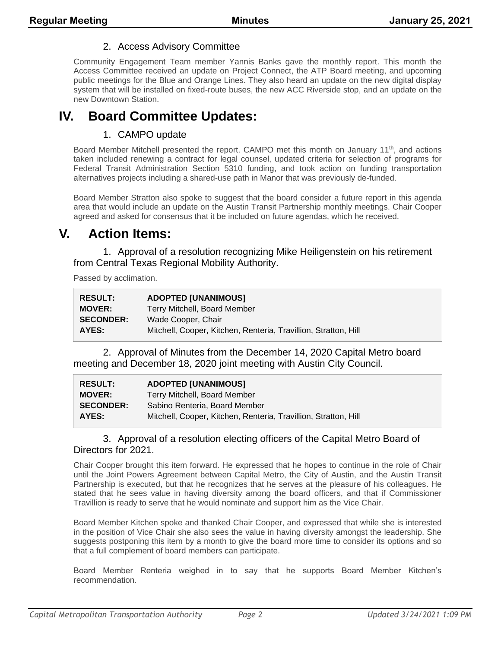#### 2. Access Advisory Committee

Community Engagement Team member Yannis Banks gave the monthly report. This month the Access Committee received an update on Project Connect, the ATP Board meeting, and upcoming public meetings for the Blue and Orange Lines. They also heard an update on the new digital display system that will be installed on fixed-route buses, the new ACC Riverside stop, and an update on the new Downtown Station.

## **IV. Board Committee Updates:**

#### 1. CAMPO update

Board Member Mitchell presented the report. CAMPO met this month on January  $11<sup>th</sup>$ , and actions taken included renewing a contract for legal counsel, updated criteria for selection of programs for Federal Transit Administration Section 5310 funding, and took action on funding transportation alternatives projects including a shared-use path in Manor that was previously de-funded.

Board Member Stratton also spoke to suggest that the board consider a future report in this agenda area that would include an update on the Austin Transit Partnership monthly meetings. Chair Cooper agreed and asked for consensus that it be included on future agendas, which he received.

## **V. Action Items:**

1. Approval of a resolution recognizing Mike Heiligenstein on his retirement from Central Texas Regional Mobility Authority.

Passed by acclimation.

| <b>RESULT:</b>   | <b>ADOPTED [UNANIMOUS]</b>                                      |
|------------------|-----------------------------------------------------------------|
| <b>MOVER:</b>    | Terry Mitchell, Board Member                                    |
| <b>SECONDER:</b> | Wade Cooper, Chair                                              |
| AYES:            | Mitchell, Cooper, Kitchen, Renteria, Travillion, Stratton, Hill |

2. Approval of Minutes from the December 14, 2020 Capital Metro board meeting and December 18, 2020 joint meeting with Austin City Council.

| <b>RESULT:</b>   | <b>ADOPTED [UNANIMOUS]</b>                                      |
|------------------|-----------------------------------------------------------------|
| <b>MOVER:</b>    | Terry Mitchell, Board Member                                    |
| <b>SECONDER:</b> | Sabino Renteria, Board Member                                   |
| AYES:            | Mitchell, Cooper, Kitchen, Renteria, Travillion, Stratton, Hill |

#### 3. Approval of a resolution electing officers of the Capital Metro Board of Directors for 2021.

Chair Cooper brought this item forward. He expressed that he hopes to continue in the role of Chair until the Joint Powers Agreement between Capital Metro, the City of Austin, and the Austin Transit Partnership is executed, but that he recognizes that he serves at the pleasure of his colleagues. He stated that he sees value in having diversity among the board officers, and that if Commissioner Travillion is ready to serve that he would nominate and support him as the Vice Chair.

Board Member Kitchen spoke and thanked Chair Cooper, and expressed that while she is interested in the position of Vice Chair she also sees the value in having diversity amongst the leadership. She suggests postponing this item by a month to give the board more time to consider its options and so that a full complement of board members can participate.

Board Member Renteria weighed in to say that he supports Board Member Kitchen's recommendation.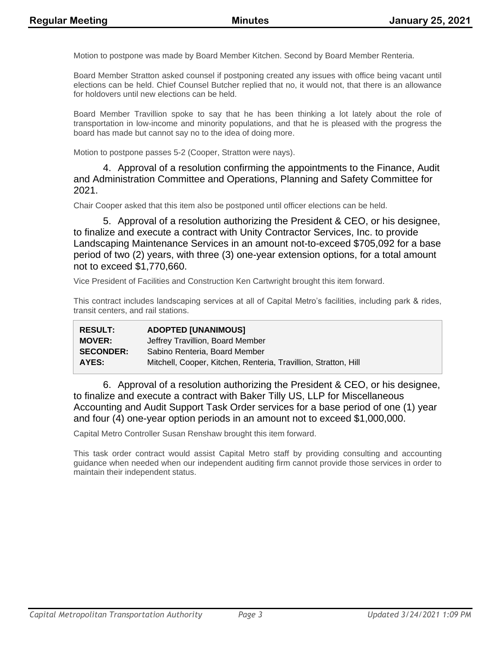Motion to postpone was made by Board Member Kitchen. Second by Board Member Renteria.

Board Member Stratton asked counsel if postponing created any issues with office being vacant until elections can be held. Chief Counsel Butcher replied that no, it would not, that there is an allowance for holdovers until new elections can be held.

Board Member Travillion spoke to say that he has been thinking a lot lately about the role of transportation in low-income and minority populations, and that he is pleased with the progress the board has made but cannot say no to the idea of doing more.

Motion to postpone passes 5-2 (Cooper, Stratton were nays).

#### 4. Approval of a resolution confirming the appointments to the Finance, Audit and Administration Committee and Operations, Planning and Safety Committee for 2021.

Chair Cooper asked that this item also be postponed until officer elections can be held.

5. Approval of a resolution authorizing the President & CEO, or his designee, to finalize and execute a contract with Unity Contractor Services, Inc. to provide Landscaping Maintenance Services in an amount not-to-exceed \$705,092 for a base period of two (2) years, with three (3) one-year extension options, for a total amount not to exceed \$1,770,660.

Vice President of Facilities and Construction Ken Cartwright brought this item forward.

This contract includes landscaping services at all of Capital Metro's facilities, including park & rides, transit centers, and rail stations.

| <b>RESULT:</b>   | <b>ADOPTED [UNANIMOUS]</b>                                      |
|------------------|-----------------------------------------------------------------|
| <b>MOVER:</b>    | Jeffrey Travillion, Board Member                                |
| <b>SECONDER:</b> | Sabino Renteria, Board Member                                   |
| AYES:            | Mitchell, Cooper, Kitchen, Renteria, Travillion, Stratton, Hill |

6. Approval of a resolution authorizing the President & CEO, or his designee, to finalize and execute a contract with Baker Tilly US, LLP for Miscellaneous Accounting and Audit Support Task Order services for a base period of one (1) year and four (4) one-year option periods in an amount not to exceed \$1,000,000.

Capital Metro Controller Susan Renshaw brought this item forward.

This task order contract would assist Capital Metro staff by providing consulting and accounting guidance when needed when our independent auditing firm cannot provide those services in order to maintain their independent status.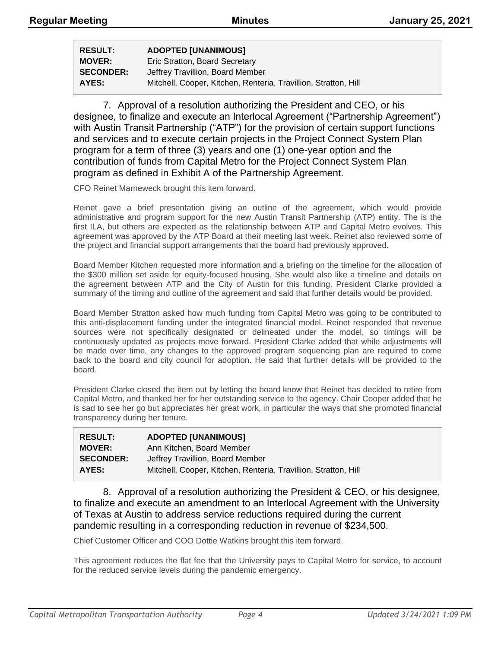| <b>RESULT:</b>   | <b>ADOPTED [UNANIMOUS]</b>                                      |
|------------------|-----------------------------------------------------------------|
| <b>MOVER:</b>    | Eric Stratton, Board Secretary                                  |
| <b>SECONDER:</b> | Jeffrey Travillion, Board Member                                |
| AYES:            | Mitchell, Cooper, Kitchen, Renteria, Travillion, Stratton, Hill |

7. Approval of a resolution authorizing the President and CEO, or his designee, to finalize and execute an Interlocal Agreement ("Partnership Agreement") with Austin Transit Partnership ("ATP") for the provision of certain support functions and services and to execute certain projects in the Project Connect System Plan program for a term of three (3) years and one (1) one-year option and the contribution of funds from Capital Metro for the Project Connect System Plan program as defined in Exhibit A of the Partnership Agreement.

CFO Reinet Marneweck brought this item forward.

Reinet gave a brief presentation giving an outline of the agreement, which would provide administrative and program support for the new Austin Transit Partnership (ATP) entity. The is the first ILA, but others are expected as the relationship between ATP and Capital Metro evolves. This agreement was approved by the ATP Board at their meeting last week. Reinet also reviewed some of the project and financial support arrangements that the board had previously approved.

Board Member Kitchen requested more information and a briefing on the timeline for the allocation of the \$300 million set aside for equity-focused housing. She would also like a timeline and details on the agreement between ATP and the City of Austin for this funding. President Clarke provided a summary of the timing and outline of the agreement and said that further details would be provided.

Board Member Stratton asked how much funding from Capital Metro was going to be contributed to this anti-displacement funding under the integrated financial model. Reinet responded that revenue sources were not specifically designated or delineated under the model, so timings will be continuously updated as projects move forward. President Clarke added that while adjustments will be made over time, any changes to the approved program sequencing plan are required to come back to the board and city council for adoption. He said that further details will be provided to the board.

President Clarke closed the item out by letting the board know that Reinet has decided to retire from Capital Metro, and thanked her for her outstanding service to the agency. Chair Cooper added that he is sad to see her go but appreciates her great work, in particular the ways that she promoted financial transparency during her tenure.

| <b>RESULT:</b>   | <b>ADOPTED [UNANIMOUS]</b>                                      |
|------------------|-----------------------------------------------------------------|
| <b>MOVER:</b>    | Ann Kitchen, Board Member                                       |
| <b>SECONDER:</b> | Jeffrey Travillion, Board Member                                |
| AYES:            | Mitchell, Cooper, Kitchen, Renteria, Travillion, Stratton, Hill |

8. Approval of a resolution authorizing the President & CEO, or his designee, to finalize and execute an amendment to an Interlocal Agreement with the University of Texas at Austin to address service reductions required during the current pandemic resulting in a corresponding reduction in revenue of \$234,500.

Chief Customer Officer and COO Dottie Watkins brought this item forward.

This agreement reduces the flat fee that the University pays to Capital Metro for service, to account for the reduced service levels during the pandemic emergency.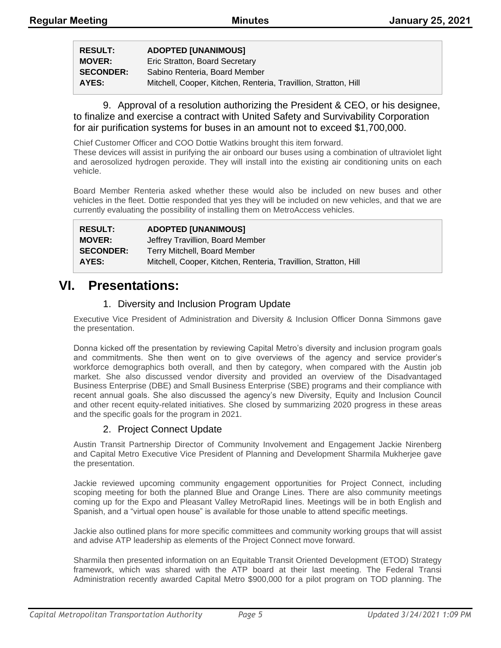**RESULT: ADOPTED [UNANIMOUS] MOVER:** Eric Stratton, Board Secretary

**SECONDER:** Sabino Renteria, Board Member **AYES:** Mitchell, Cooper, Kitchen, Renteria, Travillion, Stratton, Hill

9. Approval of a resolution authorizing the President & CEO, or his designee, to finalize and exercise a contract with United Safety and Survivability Corporation for air purification systems for buses in an amount not to exceed \$1,700,000.

Chief Customer Officer and COO Dottie Watkins brought this item forward.

These devices will assist in purifying the air onboard our buses using a combination of ultraviolet light and aerosolized hydrogen peroxide. They will install into the existing air conditioning units on each vehicle.

Board Member Renteria asked whether these would also be included on new buses and other vehicles in the fleet. Dottie responded that yes they will be included on new vehicles, and that we are currently evaluating the possibility of installing them on MetroAccess vehicles.

| <b>RESULT:</b>   | <b>ADOPTED [UNANIMOUS]</b>                                      |
|------------------|-----------------------------------------------------------------|
| <b>MOVER:</b>    | Jeffrey Travillion, Board Member                                |
| <b>SECONDER:</b> | Terry Mitchell, Board Member                                    |
| AYES:            | Mitchell, Cooper, Kitchen, Renteria, Travillion, Stratton, Hill |

## **VI. Presentations:**

#### 1. Diversity and Inclusion Program Update

Executive Vice President of Administration and Diversity & Inclusion Officer Donna Simmons gave the presentation.

Donna kicked off the presentation by reviewing Capital Metro's diversity and inclusion program goals and commitments. She then went on to give overviews of the agency and service provider's workforce demographics both overall, and then by category, when compared with the Austin job market. She also discussed vendor diversity and provided an overview of the Disadvantaged Business Enterprise (DBE) and Small Business Enterprise (SBE) programs and their compliance with recent annual goals. She also discussed the agency's new Diversity, Equity and Inclusion Council and other recent equity-related initiatives. She closed by summarizing 2020 progress in these areas and the specific goals for the program in 2021.

#### 2. Project Connect Update

Austin Transit Partnership Director of Community Involvement and Engagement Jackie Nirenberg and Capital Metro Executive Vice President of Planning and Development Sharmila Mukherjee gave the presentation.

Jackie reviewed upcoming community engagement opportunities for Project Connect, including scoping meeting for both the planned Blue and Orange Lines. There are also community meetings coming up for the Expo and Pleasant Valley MetroRapid lines. Meetings will be in both English and Spanish, and a "virtual open house" is available for those unable to attend specific meetings.

Jackie also outlined plans for more specific committees and community working groups that will assist and advise ATP leadership as elements of the Project Connect move forward.

Sharmila then presented information on an Equitable Transit Oriented Development (ETOD) Strategy framework, which was shared with the ATP board at their last meeting. The Federal Transi Administration recently awarded Capital Metro \$900,000 for a pilot program on TOD planning. The